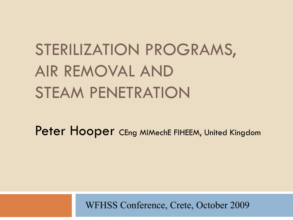## STERILIZATION PROGRAMS, AIR REMOVAL AND STEAM PENETRATION

Peter Hooper CEng MIMechE FIHEEM, United Kingdom

WFHSS Conference, Crete, October 2009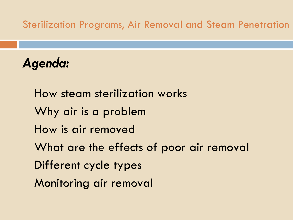*Agenda:*

How steam sterilization works Why air is a problem How is air removed What are the effects of poor air removal Different cycle types Monitoring air removal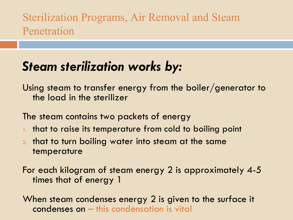## *Steam sterilization works by:*

Using steam to transfer energy from the boiler/generator to the load in the sterilizer

The steam contains two packets of energy

- 1. that to raise its temperature from cold to boiling point
- 2. that to turn boiling water into steam at the same temperature

For each kilogram of steam energy 2 is approximately 4-5 times that of energy 1

When steam condenses energy 2 is given to the surface it condenses on – this condensation is vital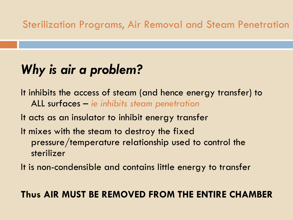## *Why is air a problem?*

It inhibits the access of steam (and hence energy transfer) to ALL surfaces – *ie inhibits steam penetration*

It acts as an insulator to inhibit energy transfer

It mixes with the steam to destroy the fixed pressure/temperature relationship used to control the sterilizer

It is non-condensible and contains little energy to transfer

#### **Thus AIR MUST BE REMOVED FROM THE ENTIRE CHAMBER**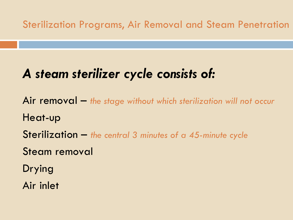## *A steam sterilizer cycle consists of:*

Air removal – *the stage without which sterilization will not occur* Heat-up Sterilization – *the central 3 minutes of a 45-minute cycle* Steam removal Drying

Air inlet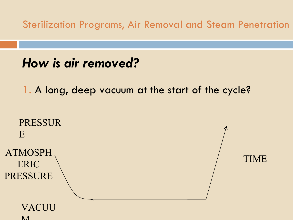*How is air removed?*

1. A long, deep vacuum at the start of the cycle?

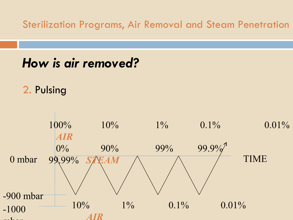*How is air removed?*

#### 2. Pulsing

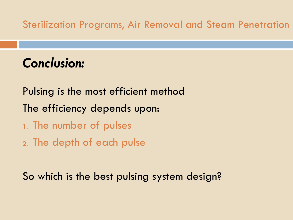- *Conclusion:*
- Pulsing is the most efficient method The efficiency depends upon: 1. The number of pulses
- 2. The depth of each pulse

So which is the best pulsing system design?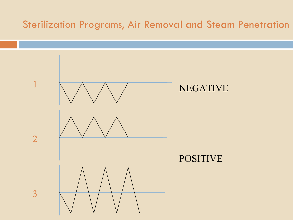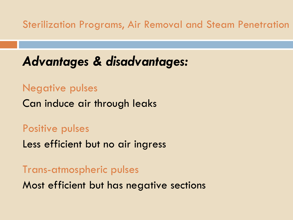## *Advantages & disadvantages:*

#### Negative pulses

Can induce air through leaks

#### Positive pulses

Less efficient but no air ingress

#### Trans-atmospheric pulses Most efficient but has negative sections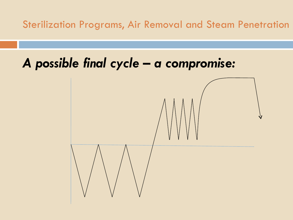## *A possible final cycle – a compromise:*

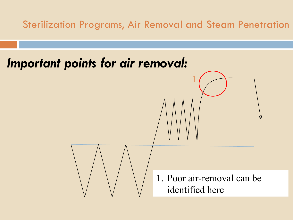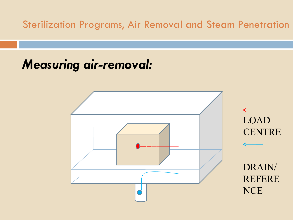## *Measuring air-removal:*

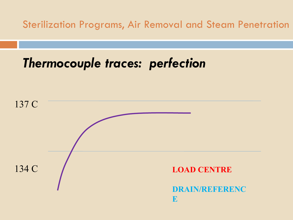

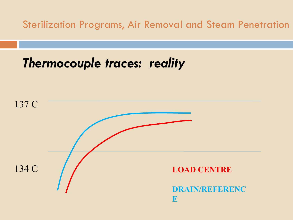

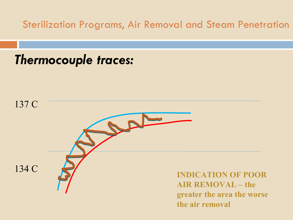#### *Thermocouple traces:*

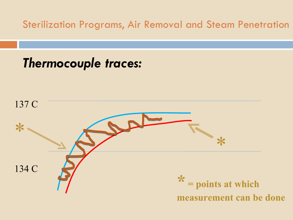

**measurement can be done**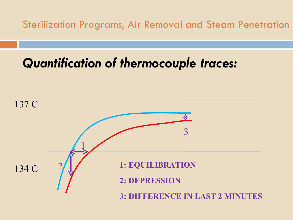## *Quantification of thermocouple traces:*

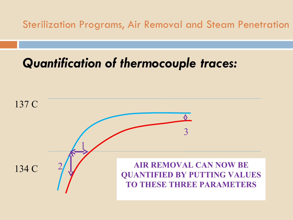## *Quantification of thermocouple traces:*

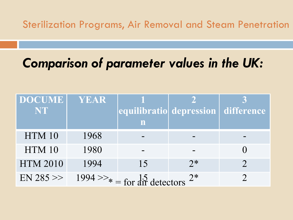## *Comparison of parameter values in the UK:*

| <b>DOCUME</b>   | <b>YEAR</b> |                                                         |                                    |  |
|-----------------|-------------|---------------------------------------------------------|------------------------------------|--|
| NT              |             |                                                         | equilibratio depression difference |  |
|                 |             |                                                         |                                    |  |
| HTM 10          | 1968        |                                                         |                                    |  |
| HTM 10          | 1980        |                                                         |                                    |  |
| <b>HTM 2010</b> | 1994        | 15                                                      | $2*$                               |  |
| $EN$ 285 >>     |             | $1994 \gg_{*} =$ for $\frac{15}{411}$ detectors $2^{*}$ |                                    |  |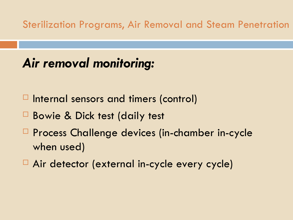## *Air removal monitoring:*

- $\Box$  Internal sensors and timers (control)
- □ Bowie & Dick test (daily test
- □ Process Challenge devices (in-chamber in-cycle when used)
- □ Air detector (external in-cycle every cycle)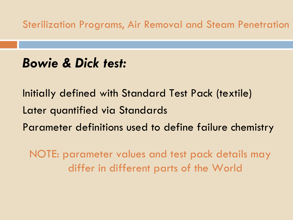## *Bowie & Dick test:*

Initially defined with Standard Test Pack (textile) Later quantified via Standards Parameter definitions used to define failure chemistry

NOTE: parameter values and test pack details may differ in different parts of the World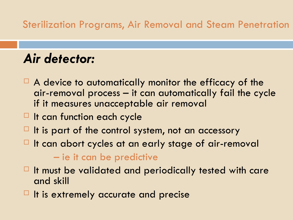## *Air detector:*

- $\Box$  A device to automatically monitor the efficacy of the air-removal process – it can automatically fail the cycle if it measures unacceptable air removal
- $\Box$  It can function each cycle
- $\Box$  It is part of the control system, not an accessory
- $\Box$  It can abort cycles at an early stage of air-removal – ie it can be predictive
- $\Box$  It must be validated and periodically tested with care and skill
- $\Box$  It is extremely accurate and precise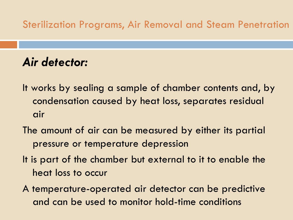#### *Air detector:*

- It works by sealing a sample of chamber contents and, by condensation caused by heat loss, separates residual air
- The amount of air can be measured by either its partial pressure or temperature depression
- It is part of the chamber but external to it to enable the heat loss to occur
- A temperature-operated air detector can be predictive and can be used to monitor hold-time conditions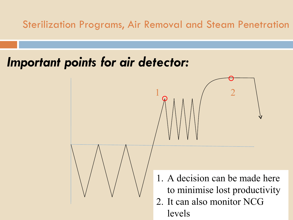## *Important points for air detector:*

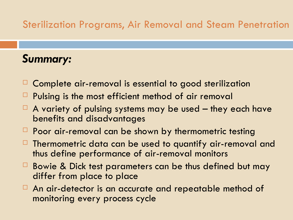### *Summary:*

- Complete air-removal is essential to good sterilization
- Pulsing is the most efficient method of air removal
- A variety of pulsing systems may be used they each have benefits and disadvantages
- $\Box$  Poor air-removal can be shown by thermometric testing
- Thermometric data can be used to quantify air-removal and thus define performance of air-removal monitors
- Bowie & Dick test parameters can be thus defined but may differ from place to place
- An air-detector is an accurate and repeatable method of monitoring every process cycle